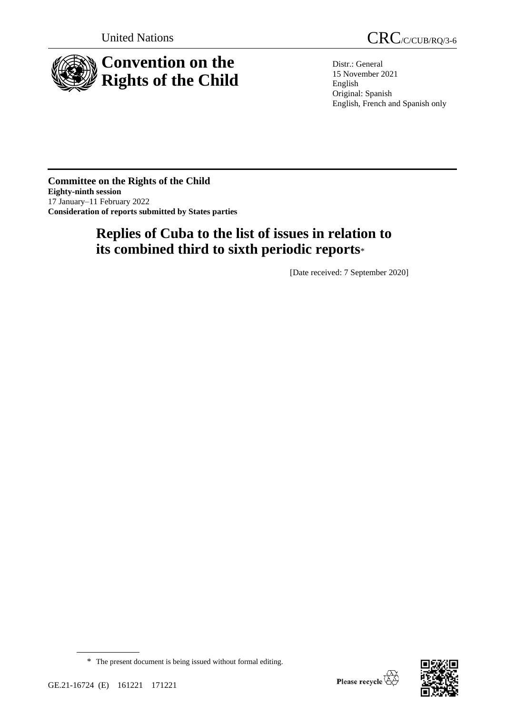

United Nations CRC/C/CUB/RQ/3-6

Distr.: General 15 November 2021 English Original: Spanish English, French and Spanish only

**Committee on the Rights of the Child Eighty-ninth session** 17 January–11 February 2022 **Consideration of reports submitted by States parties**

# **Replies of Cuba to the list of issues in relation to its combined third to sixth periodic reports**\*

[Date received: 7 September 2020]



<sup>\*</sup> The present document is being issued without formal editing.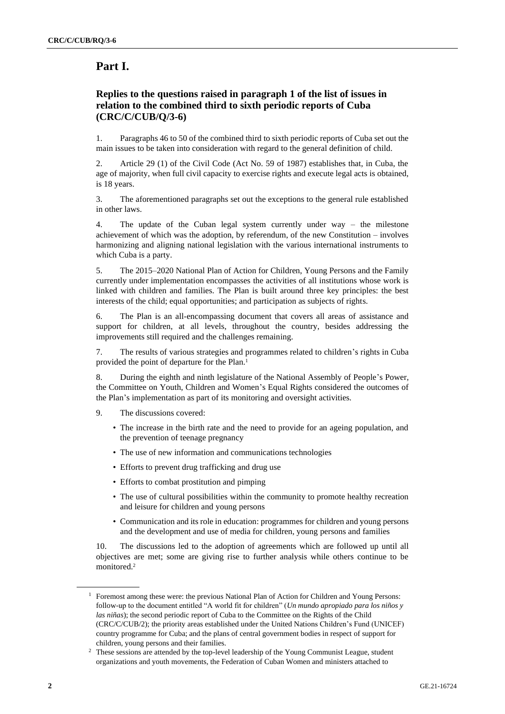# **Part I.**

# **Replies to the questions raised in paragraph 1 of the list of issues in relation to the combined third to sixth periodic reports of Cuba (CRC/C/CUB/Q/3-6)**

1. Paragraphs 46 to 50 of the combined third to sixth periodic reports of Cuba set out the main issues to be taken into consideration with regard to the general definition of child.

2. Article 29 (1) of the Civil Code (Act No. 59 of 1987) establishes that, in Cuba, the age of majority, when full civil capacity to exercise rights and execute legal acts is obtained, is 18 years.

3. The aforementioned paragraphs set out the exceptions to the general rule established in other laws.

4. The update of the Cuban legal system currently under way – the milestone achievement of which was the adoption, by referendum, of the new Constitution – involves harmonizing and aligning national legislation with the various international instruments to which Cuba is a party.

5. The 2015–2020 National Plan of Action for Children, Young Persons and the Family currently under implementation encompasses the activities of all institutions whose work is linked with children and families. The Plan is built around three key principles: the best interests of the child; equal opportunities; and participation as subjects of rights.

6. The Plan is an all-encompassing document that covers all areas of assistance and support for children, at all levels, throughout the country, besides addressing the improvements still required and the challenges remaining.

7. The results of various strategies and programmes related to children's rights in Cuba provided the point of departure for the Plan.<sup>1</sup>

8. During the eighth and ninth legislature of the National Assembly of People's Power, the Committee on Youth, Children and Women's Equal Rights considered the outcomes of the Plan's implementation as part of its monitoring and oversight activities.

- 9. The discussions covered:
	- The increase in the birth rate and the need to provide for an ageing population, and the prevention of teenage pregnancy
	- The use of new information and communications technologies
	- Efforts to prevent drug trafficking and drug use
	- Efforts to combat prostitution and pimping
	- The use of cultural possibilities within the community to promote healthy recreation and leisure for children and young persons
	- Communication and its role in education: programmes for children and young persons and the development and use of media for children, young persons and families

10. The discussions led to the adoption of agreements which are followed up until all objectives are met; some are giving rise to further analysis while others continue to be monitored. 2

<sup>&</sup>lt;sup>1</sup> Foremost among these were: the previous National Plan of Action for Children and Young Persons: follow-up to the document entitled "A world fit for children" (*Un mundo apropiado para los niños y las niñas*); the second periodic report of Cuba to the Committee on the Rights of the Child (CRC/C/CUB/2); the priority areas established under the United Nations Children's Fund (UNICEF) country programme for Cuba; and the plans of central government bodies in respect of support for children, young persons and their families.

<sup>&</sup>lt;sup>2</sup> These sessions are attended by the top-level leadership of the Young Communist League, student organizations and youth movements, the Federation of Cuban Women and ministers attached to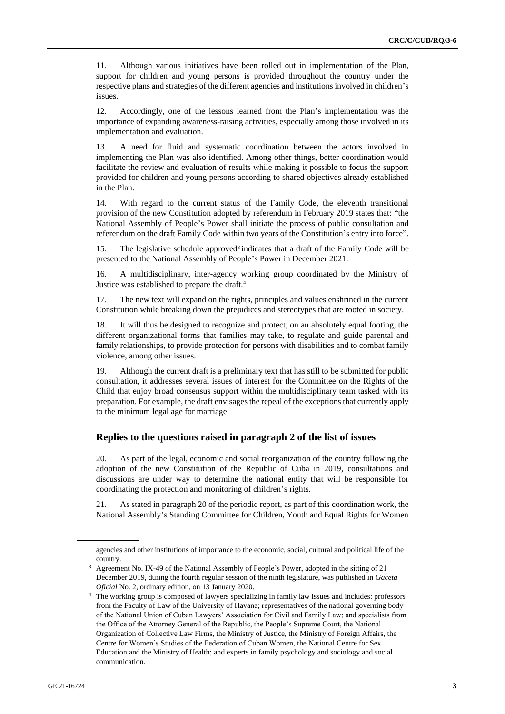11. Although various initiatives have been rolled out in implementation of the Plan, support for children and young persons is provided throughout the country under the respective plans and strategies of the different agencies and institutions involved in children's issues.

12. Accordingly, one of the lessons learned from the Plan's implementation was the importance of expanding awareness-raising activities, especially among those involved in its implementation and evaluation.

13. A need for fluid and systematic coordination between the actors involved in implementing the Plan was also identified. Among other things, better coordination would facilitate the review and evaluation of results while making it possible to focus the support provided for children and young persons according to shared objectives already established in the Plan.

14. With regard to the current status of the Family Code, the eleventh transitional provision of the new Constitution adopted by referendum in February 2019 states that: "the National Assembly of People's Power shall initiate the process of public consultation and referendum on the draft Family Code within two years of the Constitution's entry into force".

15. The legislative schedule approved<sup>3</sup> indicates that a draft of the Family Code will be presented to the National Assembly of People's Power in December 2021.

16. A multidisciplinary, inter-agency working group coordinated by the Ministry of Justice was established to prepare the draft.<sup>4</sup>

17. The new text will expand on the rights, principles and values enshrined in the current Constitution while breaking down the prejudices and stereotypes that are rooted in society.

18. It will thus be designed to recognize and protect, on an absolutely equal footing, the different organizational forms that families may take, to regulate and guide parental and family relationships, to provide protection for persons with disabilities and to combat family violence, among other issues.

19. Although the current draft is a preliminary text that has still to be submitted for public consultation, it addresses several issues of interest for the Committee on the Rights of the Child that enjoy broad consensus support within the multidisciplinary team tasked with its preparation. For example, the draft envisages the repeal of the exceptions that currently apply to the minimum legal age for marriage.

#### **Replies to the questions raised in paragraph 2 of the list of issues**

20. As part of the legal, economic and social reorganization of the country following the adoption of the new Constitution of the Republic of Cuba in 2019, consultations and discussions are under way to determine the national entity that will be responsible for coordinating the protection and monitoring of children's rights.

21. As stated in paragraph 20 of the periodic report, as part of this coordination work, the National Assembly's Standing Committee for Children, Youth and Equal Rights for Women

agencies and other institutions of importance to the economic, social, cultural and political life of the country.

<sup>3</sup> Agreement No. IX-49 of the National Assembly of People's Power, adopted in the sitting of 21 December 2019, during the fourth regular session of the ninth legislature, was published in *Gaceta Oficial* No. 2, ordinary edition, on 13 January 2020.

<sup>4</sup> The working group is composed of lawyers specializing in family law issues and includes: professors from the Faculty of Law of the University of Havana; representatives of the national governing body of the National Union of Cuban Lawyers' Association for Civil and Family Law; and specialists from the Office of the Attorney General of the Republic, the People's Supreme Court, the National Organization of Collective Law Firms, the Ministry of Justice, the Ministry of Foreign Affairs, the Centre for Women's Studies of the Federation of Cuban Women, the National Centre for Sex Education and the Ministry of Health; and experts in family psychology and sociology and social communication.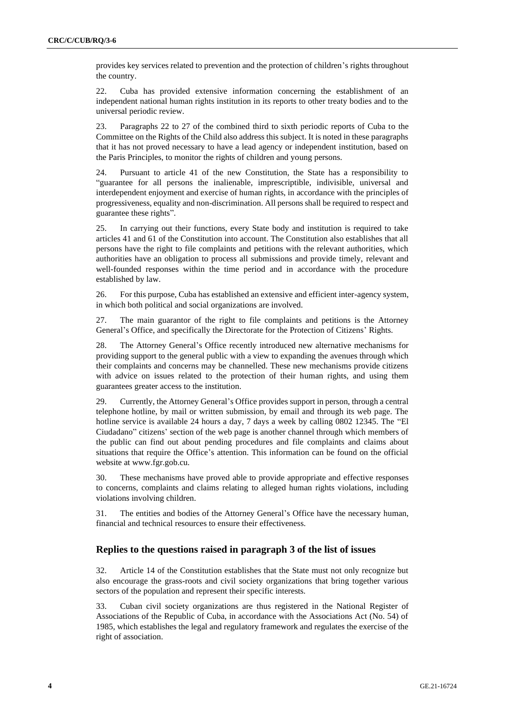provides key services related to prevention and the protection of children's rights throughout the country.

22. Cuba has provided extensive information concerning the establishment of an independent national human rights institution in its reports to other treaty bodies and to the universal periodic review.

23. Paragraphs 22 to 27 of the combined third to sixth periodic reports of Cuba to the Committee on the Rights of the Child also address this subject. It is noted in these paragraphs that it has not proved necessary to have a lead agency or independent institution, based on the Paris Principles, to monitor the rights of children and young persons.

24. Pursuant to article 41 of the new Constitution, the State has a responsibility to "guarantee for all persons the inalienable, imprescriptible, indivisible, universal and interdependent enjoyment and exercise of human rights, in accordance with the principles of progressiveness, equality and non-discrimination. All persons shall be required to respect and guarantee these rights".

25. In carrying out their functions, every State body and institution is required to take articles 41 and 61 of the Constitution into account. The Constitution also establishes that all persons have the right to file complaints and petitions with the relevant authorities, which authorities have an obligation to process all submissions and provide timely, relevant and well-founded responses within the time period and in accordance with the procedure established by law.

26. For this purpose, Cuba has established an extensive and efficient inter-agency system, in which both political and social organizations are involved.

27. The main guarantor of the right to file complaints and petitions is the Attorney General's Office, and specifically the Directorate for the Protection of Citizens' Rights.

28. The Attorney General's Office recently introduced new alternative mechanisms for providing support to the general public with a view to expanding the avenues through which their complaints and concerns may be channelled. These new mechanisms provide citizens with advice on issues related to the protection of their human rights, and using them guarantees greater access to the institution.

29. Currently, the Attorney General's Office provides support in person, through a central telephone hotline, by mail or written submission, by email and through its web page. The hotline service is available 24 hours a day, 7 days a week by calling 0802 12345. The "El Ciudadano" citizens' section of the web page is another channel through which members of the public can find out about pending procedures and file complaints and claims about situations that require the Office's attention. This information can be found on the official website at www.fgr.gob.cu.

30. These mechanisms have proved able to provide appropriate and effective responses to concerns, complaints and claims relating to alleged human rights violations, including violations involving children.

31. The entities and bodies of the Attorney General's Office have the necessary human, financial and technical resources to ensure their effectiveness.

#### **Replies to the questions raised in paragraph 3 of the list of issues**

32. Article 14 of the Constitution establishes that the State must not only recognize but also encourage the grass-roots and civil society organizations that bring together various sectors of the population and represent their specific interests.

33. Cuban civil society organizations are thus registered in the National Register of Associations of the Republic of Cuba, in accordance with the Associations Act (No. 54) of 1985, which establishes the legal and regulatory framework and regulates the exercise of the right of association.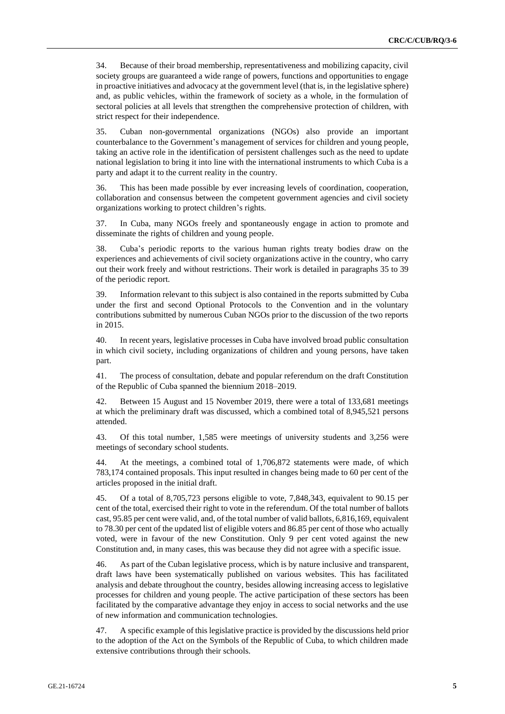34. Because of their broad membership, representativeness and mobilizing capacity, civil society groups are guaranteed a wide range of powers, functions and opportunities to engage in proactive initiatives and advocacy at the government level (that is, in the legislative sphere) and, as public vehicles, within the framework of society as a whole, in the formulation of sectoral policies at all levels that strengthen the comprehensive protection of children, with strict respect for their independence.

35. Cuban non-governmental organizations (NGOs) also provide an important counterbalance to the Government's management of services for children and young people, taking an active role in the identification of persistent challenges such as the need to update national legislation to bring it into line with the international instruments to which Cuba is a party and adapt it to the current reality in the country.

36. This has been made possible by ever increasing levels of coordination, cooperation, collaboration and consensus between the competent government agencies and civil society organizations working to protect children's rights.

37. In Cuba, many NGOs freely and spontaneously engage in action to promote and disseminate the rights of children and young people.

38. Cuba's periodic reports to the various human rights treaty bodies draw on the experiences and achievements of civil society organizations active in the country, who carry out their work freely and without restrictions. Their work is detailed in paragraphs 35 to 39 of the periodic report.

39. Information relevant to this subject is also contained in the reports submitted by Cuba under the first and second Optional Protocols to the Convention and in the voluntary contributions submitted by numerous Cuban NGOs prior to the discussion of the two reports in 2015.

40. In recent years, legislative processes in Cuba have involved broad public consultation in which civil society, including organizations of children and young persons, have taken part.

41. The process of consultation, debate and popular referendum on the draft Constitution of the Republic of Cuba spanned the biennium 2018–2019.

42. Between 15 August and 15 November 2019, there were a total of 133,681 meetings at which the preliminary draft was discussed, which a combined total of 8,945,521 persons attended.

43. Of this total number, 1,585 were meetings of university students and 3,256 were meetings of secondary school students.

44. At the meetings, a combined total of 1,706,872 statements were made, of which 783,174 contained proposals. This input resulted in changes being made to 60 per cent of the articles proposed in the initial draft.

45. Of a total of 8,705,723 persons eligible to vote, 7,848,343, equivalent to 90.15 per cent of the total, exercised their right to vote in the referendum. Of the total number of ballots cast, 95.85 per cent were valid, and, of the total number of valid ballots, 6,816,169, equivalent to 78.30 per cent of the updated list of eligible voters and 86.85 per cent of those who actually voted, were in favour of the new Constitution. Only 9 per cent voted against the new Constitution and, in many cases, this was because they did not agree with a specific issue.

46. As part of the Cuban legislative process, which is by nature inclusive and transparent, draft laws have been systematically published on various websites. This has facilitated analysis and debate throughout the country, besides allowing increasing access to legislative processes for children and young people. The active participation of these sectors has been facilitated by the comparative advantage they enjoy in access to social networks and the use of new information and communication technologies.

47. A specific example of this legislative practice is provided by the discussions held prior to the adoption of the Act on the Symbols of the Republic of Cuba, to which children made extensive contributions through their schools.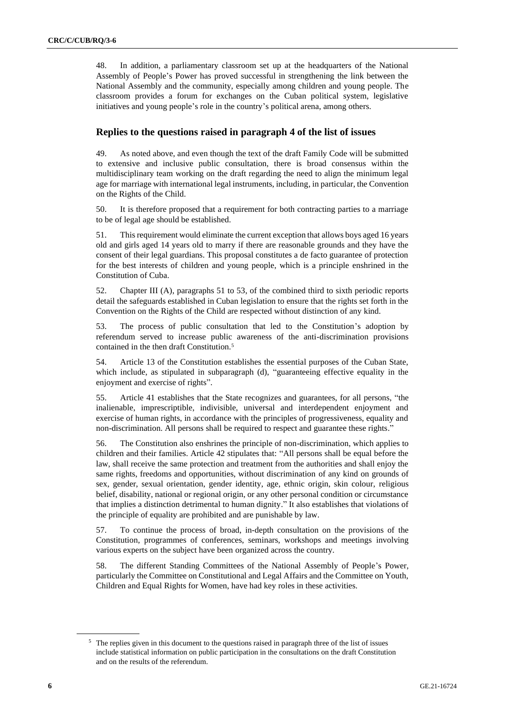48. In addition, a parliamentary classroom set up at the headquarters of the National Assembly of People's Power has proved successful in strengthening the link between the National Assembly and the community, especially among children and young people. The classroom provides a forum for exchanges on the Cuban political system, legislative initiatives and young people's role in the country's political arena, among others.

#### **Replies to the questions raised in paragraph 4 of the list of issues**

49. As noted above, and even though the text of the draft Family Code will be submitted to extensive and inclusive public consultation, there is broad consensus within the multidisciplinary team working on the draft regarding the need to align the minimum legal age for marriage with international legal instruments, including, in particular, the Convention on the Rights of the Child.

50. It is therefore proposed that a requirement for both contracting parties to a marriage to be of legal age should be established.

51. This requirement would eliminate the current exception that allows boys aged 16 years old and girls aged 14 years old to marry if there are reasonable grounds and they have the consent of their legal guardians. This proposal constitutes a de facto guarantee of protection for the best interests of children and young people, which is a principle enshrined in the Constitution of Cuba.

52. Chapter III (A), paragraphs 51 to 53, of the combined third to sixth periodic reports detail the safeguards established in Cuban legislation to ensure that the rights set forth in the Convention on the Rights of the Child are respected without distinction of any kind.

53. The process of public consultation that led to the Constitution's adoption by referendum served to increase public awareness of the anti-discrimination provisions contained in the then draft Constitution.<sup>5</sup>

54. Article 13 of the Constitution establishes the essential purposes of the Cuban State, which include, as stipulated in subparagraph (d), "guaranteeing effective equality in the enjoyment and exercise of rights".

55. Article 41 establishes that the State recognizes and guarantees, for all persons, "the inalienable, imprescriptible, indivisible, universal and interdependent enjoyment and exercise of human rights, in accordance with the principles of progressiveness, equality and non-discrimination. All persons shall be required to respect and guarantee these rights."

56. The Constitution also enshrines the principle of non-discrimination, which applies to children and their families. Article 42 stipulates that: "All persons shall be equal before the law, shall receive the same protection and treatment from the authorities and shall enjoy the same rights, freedoms and opportunities, without discrimination of any kind on grounds of sex, gender, sexual orientation, gender identity, age, ethnic origin, skin colour, religious belief, disability, national or regional origin, or any other personal condition or circumstance that implies a distinction detrimental to human dignity." It also establishes that violations of the principle of equality are prohibited and are punishable by law.

57. To continue the process of broad, in-depth consultation on the provisions of the Constitution, programmes of conferences, seminars, workshops and meetings involving various experts on the subject have been organized across the country.

58. The different Standing Committees of the National Assembly of People's Power, particularly the Committee on Constitutional and Legal Affairs and the Committee on Youth, Children and Equal Rights for Women, have had key roles in these activities.

<sup>&</sup>lt;sup>5</sup> The replies given in this document to the questions raised in paragraph three of the list of issues include statistical information on public participation in the consultations on the draft Constitution and on the results of the referendum.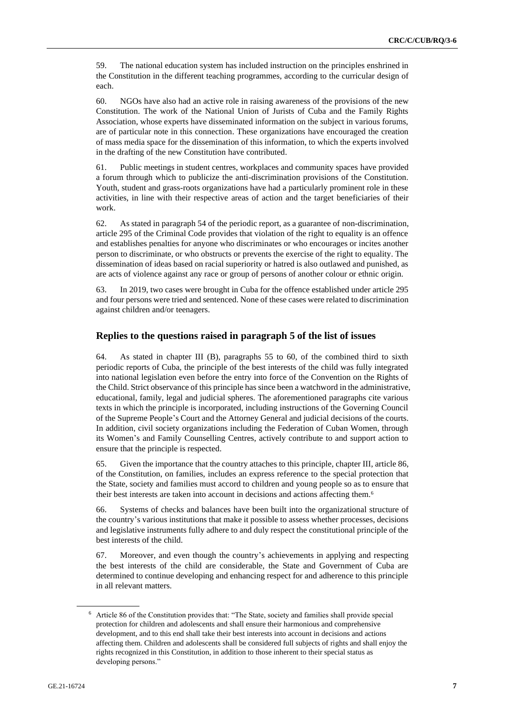59. The national education system has included instruction on the principles enshrined in the Constitution in the different teaching programmes, according to the curricular design of each.

60. NGOs have also had an active role in raising awareness of the provisions of the new Constitution. The work of the National Union of Jurists of Cuba and the Family Rights Association, whose experts have disseminated information on the subject in various forums, are of particular note in this connection. These organizations have encouraged the creation of mass media space for the dissemination of this information, to which the experts involved in the drafting of the new Constitution have contributed.

61. Public meetings in student centres, workplaces and community spaces have provided a forum through which to publicize the anti-discrimination provisions of the Constitution. Youth, student and grass-roots organizations have had a particularly prominent role in these activities, in line with their respective areas of action and the target beneficiaries of their work.

62. As stated in paragraph 54 of the periodic report, as a guarantee of non-discrimination, article 295 of the Criminal Code provides that violation of the right to equality is an offence and establishes penalties for anyone who discriminates or who encourages or incites another person to discriminate, or who obstructs or prevents the exercise of the right to equality. The dissemination of ideas based on racial superiority or hatred is also outlawed and punished, as are acts of violence against any race or group of persons of another colour or ethnic origin.

63. In 2019, two cases were brought in Cuba for the offence established under article 295 and four persons were tried and sentenced. None of these cases were related to discrimination against children and/or teenagers.

#### **Replies to the questions raised in paragraph 5 of the list of issues**

64. As stated in chapter III (B), paragraphs 55 to 60, of the combined third to sixth periodic reports of Cuba, the principle of the best interests of the child was fully integrated into national legislation even before the entry into force of the Convention on the Rights of the Child. Strict observance of this principle has since been a watchword in the administrative, educational, family, legal and judicial spheres. The aforementioned paragraphs cite various texts in which the principle is incorporated, including instructions of the Governing Council of the Supreme People's Court and the Attorney General and judicial decisions of the courts. In addition, civil society organizations including the Federation of Cuban Women, through its Women's and Family Counselling Centres, actively contribute to and support action to ensure that the principle is respected.

65. Given the importance that the country attaches to this principle, chapter III, article 86, of the Constitution, on families, includes an express reference to the special protection that the State, society and families must accord to children and young people so as to ensure that their best interests are taken into account in decisions and actions affecting them.<sup>6</sup>

66. Systems of checks and balances have been built into the organizational structure of the country's various institutions that make it possible to assess whether processes, decisions and legislative instruments fully adhere to and duly respect the constitutional principle of the best interests of the child.

67. Moreover, and even though the country's achievements in applying and respecting the best interests of the child are considerable, the State and Government of Cuba are determined to continue developing and enhancing respect for and adherence to this principle in all relevant matters.

<sup>6</sup> Article 86 of the Constitution provides that: "The State, society and families shall provide special protection for children and adolescents and shall ensure their harmonious and comprehensive development, and to this end shall take their best interests into account in decisions and actions affecting them. Children and adolescents shall be considered full subjects of rights and shall enjoy the rights recognized in this Constitution, in addition to those inherent to their special status as developing persons."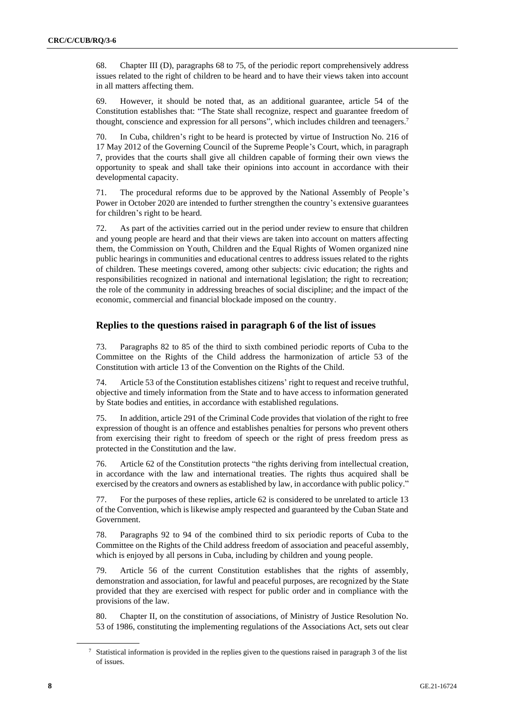68. Chapter III (D), paragraphs 68 to 75, of the periodic report comprehensively address issues related to the right of children to be heard and to have their views taken into account in all matters affecting them.

69. However, it should be noted that, as an additional guarantee, article 54 of the Constitution establishes that: "The State shall recognize, respect and guarantee freedom of thought, conscience and expression for all persons", which includes children and teenagers. 7

70. In Cuba, children's right to be heard is protected by virtue of Instruction No. 216 of 17 May 2012 of the Governing Council of the Supreme People's Court, which, in paragraph 7, provides that the courts shall give all children capable of forming their own views the opportunity to speak and shall take their opinions into account in accordance with their developmental capacity.

71. The procedural reforms due to be approved by the National Assembly of People's Power in October 2020 are intended to further strengthen the country's extensive guarantees for children's right to be heard.

72. As part of the activities carried out in the period under review to ensure that children and young people are heard and that their views are taken into account on matters affecting them, the Commission on Youth, Children and the Equal Rights of Women organized nine public hearings in communities and educational centres to address issues related to the rights of children. These meetings covered, among other subjects: civic education; the rights and responsibilities recognized in national and international legislation; the right to recreation; the role of the community in addressing breaches of social discipline; and the impact of the economic, commercial and financial blockade imposed on the country.

#### **Replies to the questions raised in paragraph 6 of the list of issues**

73. Paragraphs 82 to 85 of the third to sixth combined periodic reports of Cuba to the Committee on the Rights of the Child address the harmonization of article 53 of the Constitution with article 13 of the Convention on the Rights of the Child.

74. Article 53 of the Constitution establishes citizens' right to request and receive truthful, objective and timely information from the State and to have access to information generated by State bodies and entities, in accordance with established regulations.

75. In addition, article 291 of the Criminal Code provides that violation of the right to free expression of thought is an offence and establishes penalties for persons who prevent others from exercising their right to freedom of speech or the right of press freedom press as protected in the Constitution and the law.

76. Article 62 of the Constitution protects "the rights deriving from intellectual creation, in accordance with the law and international treaties. The rights thus acquired shall be exercised by the creators and owners as established by law, in accordance with public policy."

77. For the purposes of these replies, article 62 is considered to be unrelated to article 13 of the Convention, which is likewise amply respected and guaranteed by the Cuban State and Government.

78. Paragraphs 92 to 94 of the combined third to six periodic reports of Cuba to the Committee on the Rights of the Child address freedom of association and peaceful assembly, which is enjoyed by all persons in Cuba, including by children and young people.

79. Article 56 of the current Constitution establishes that the rights of assembly, demonstration and association, for lawful and peaceful purposes, are recognized by the State provided that they are exercised with respect for public order and in compliance with the provisions of the law.

80. Chapter II, on the constitution of associations, of Ministry of Justice Resolution No. 53 of 1986, constituting the implementing regulations of the Associations Act, sets out clear

<sup>7</sup> Statistical information is provided in the replies given to the questions raised in paragraph 3 of the list of issues.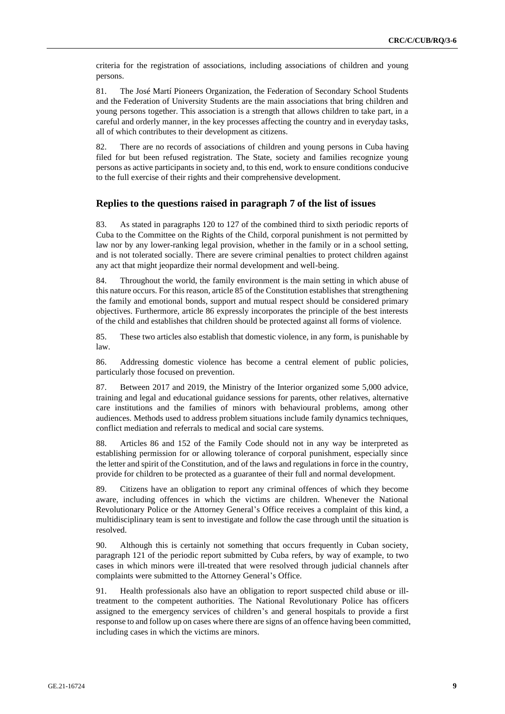criteria for the registration of associations, including associations of children and young persons.

81. The José Martí Pioneers Organization, the Federation of Secondary School Students and the Federation of University Students are the main associations that bring children and young persons together. This association is a strength that allows children to take part, in a careful and orderly manner, in the key processes affecting the country and in everyday tasks, all of which contributes to their development as citizens.

82. There are no records of associations of children and young persons in Cuba having filed for but been refused registration. The State, society and families recognize young persons as active participants in society and, to this end, work to ensure conditions conducive to the full exercise of their rights and their comprehensive development.

#### **Replies to the questions raised in paragraph 7 of the list of issues**

83. As stated in paragraphs 120 to 127 of the combined third to sixth periodic reports of Cuba to the Committee on the Rights of the Child, corporal punishment is not permitted by law nor by any lower-ranking legal provision, whether in the family or in a school setting, and is not tolerated socially. There are severe criminal penalties to protect children against any act that might jeopardize their normal development and well-being.

84. Throughout the world, the family environment is the main setting in which abuse of this nature occurs. For this reason, article 85 of the Constitution establishes that strengthening the family and emotional bonds, support and mutual respect should be considered primary objectives. Furthermore, article 86 expressly incorporates the principle of the best interests of the child and establishes that children should be protected against all forms of violence.

85. These two articles also establish that domestic violence, in any form, is punishable by law.

86. Addressing domestic violence has become a central element of public policies, particularly those focused on prevention.

87. Between 2017 and 2019, the Ministry of the Interior organized some 5,000 advice, training and legal and educational guidance sessions for parents, other relatives, alternative care institutions and the families of minors with behavioural problems, among other audiences. Methods used to address problem situations include family dynamics techniques, conflict mediation and referrals to medical and social care systems.

88. Articles 86 and 152 of the Family Code should not in any way be interpreted as establishing permission for or allowing tolerance of corporal punishment, especially since the letter and spirit of the Constitution, and of the laws and regulations in force in the country, provide for children to be protected as a guarantee of their full and normal development.

89. Citizens have an obligation to report any criminal offences of which they become aware, including offences in which the victims are children. Whenever the National Revolutionary Police or the Attorney General's Office receives a complaint of this kind, a multidisciplinary team is sent to investigate and follow the case through until the situation is resolved.

90. Although this is certainly not something that occurs frequently in Cuban society, paragraph 121 of the periodic report submitted by Cuba refers, by way of example, to two cases in which minors were ill-treated that were resolved through judicial channels after complaints were submitted to the Attorney General's Office.

91. Health professionals also have an obligation to report suspected child abuse or illtreatment to the competent authorities. The National Revolutionary Police has officers assigned to the emergency services of children's and general hospitals to provide a first response to and follow up on cases where there are signs of an offence having been committed, including cases in which the victims are minors.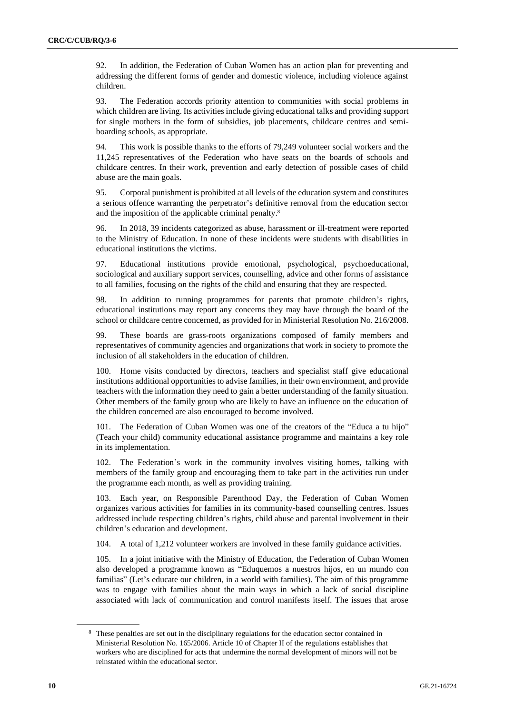92. In addition, the Federation of Cuban Women has an action plan for preventing and addressing the different forms of gender and domestic violence, including violence against children.

93. The Federation accords priority attention to communities with social problems in which children are living. Its activities include giving educational talks and providing support for single mothers in the form of subsidies, job placements, childcare centres and semiboarding schools, as appropriate.

94. This work is possible thanks to the efforts of 79,249 volunteer social workers and the 11,245 representatives of the Federation who have seats on the boards of schools and childcare centres. In their work, prevention and early detection of possible cases of child abuse are the main goals.

95. Corporal punishment is prohibited at all levels of the education system and constitutes a serious offence warranting the perpetrator's definitive removal from the education sector and the imposition of the applicable criminal penalty.<sup>8</sup>

96. In 2018, 39 incidents categorized as abuse, harassment or ill-treatment were reported to the Ministry of Education. In none of these incidents were students with disabilities in educational institutions the victims.

97. Educational institutions provide emotional, psychological, psychoeducational, sociological and auxiliary support services, counselling, advice and other forms of assistance to all families, focusing on the rights of the child and ensuring that they are respected.

98. In addition to running programmes for parents that promote children's rights, educational institutions may report any concerns they may have through the board of the school or childcare centre concerned, as provided for in Ministerial Resolution No. 216/2008.

99. These boards are grass-roots organizations composed of family members and representatives of community agencies and organizations that work in society to promote the inclusion of all stakeholders in the education of children.

Home visits conducted by directors, teachers and specialist staff give educational institutions additional opportunities to advise families, in their own environment, and provide teachers with the information they need to gain a better understanding of the family situation. Other members of the family group who are likely to have an influence on the education of the children concerned are also encouraged to become involved.

101. The Federation of Cuban Women was one of the creators of the "Educa a tu hijo" (Teach your child) community educational assistance programme and maintains a key role in its implementation.

102. The Federation's work in the community involves visiting homes, talking with members of the family group and encouraging them to take part in the activities run under the programme each month, as well as providing training.

103. Each year, on Responsible Parenthood Day, the Federation of Cuban Women organizes various activities for families in its community-based counselling centres. Issues addressed include respecting children's rights, child abuse and parental involvement in their children's education and development.

104. A total of 1,212 volunteer workers are involved in these family guidance activities.

105. In a joint initiative with the Ministry of Education, the Federation of Cuban Women also developed a programme known as "Eduquemos a nuestros hijos, en un mundo con familias" (Let's educate our children, in a world with families). The aim of this programme was to engage with families about the main ways in which a lack of social discipline associated with lack of communication and control manifests itself. The issues that arose

<sup>&</sup>lt;sup>8</sup> These penalties are set out in the disciplinary regulations for the education sector contained in Ministerial Resolution No. 165/2006. Article 10 of Chapter II of the regulations establishes that workers who are disciplined for acts that undermine the normal development of minors will not be reinstated within the educational sector.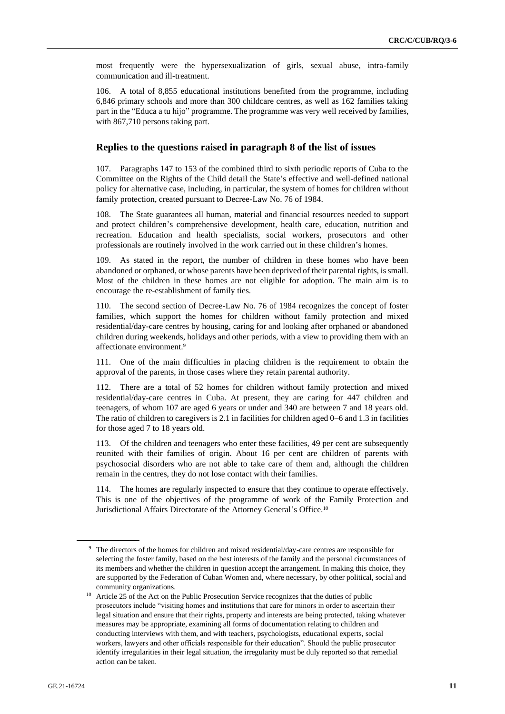most frequently were the hypersexualization of girls, sexual abuse, intra-family communication and ill-treatment.

106. A total of 8,855 educational institutions benefited from the programme, including 6,846 primary schools and more than 300 childcare centres, as well as 162 families taking part in the "Educa a tu hijo" programme. The programme was very well received by families, with 867,710 persons taking part.

#### **Replies to the questions raised in paragraph 8 of the list of issues**

107. Paragraphs 147 to 153 of the combined third to sixth periodic reports of Cuba to the Committee on the Rights of the Child detail the State's effective and well-defined national policy for alternative case, including, in particular, the system of homes for children without family protection, created pursuant to Decree-Law No. 76 of 1984.

108. The State guarantees all human, material and financial resources needed to support and protect children's comprehensive development, health care, education, nutrition and recreation. Education and health specialists, social workers, prosecutors and other professionals are routinely involved in the work carried out in these children's homes.

109. As stated in the report, the number of children in these homes who have been abandoned or orphaned, or whose parents have been deprived of their parental rights, is small. Most of the children in these homes are not eligible for adoption. The main aim is to encourage the re-establishment of family ties.

110. The second section of Decree-Law No. 76 of 1984 recognizes the concept of foster families, which support the homes for children without family protection and mixed residential/day-care centres by housing, caring for and looking after orphaned or abandoned children during weekends, holidays and other periods, with a view to providing them with an affectionate environment.<sup>9</sup>

111. One of the main difficulties in placing children is the requirement to obtain the approval of the parents, in those cases where they retain parental authority.

112. There are a total of 52 homes for children without family protection and mixed residential/day-care centres in Cuba. At present, they are caring for 447 children and teenagers, of whom 107 are aged 6 years or under and 340 are between 7 and 18 years old. The ratio of children to caregivers is 2.1 in facilities for children aged 0–6 and 1.3 in facilities for those aged 7 to 18 years old.

113. Of the children and teenagers who enter these facilities, 49 per cent are subsequently reunited with their families of origin. About 16 per cent are children of parents with psychosocial disorders who are not able to take care of them and, although the children remain in the centres, they do not lose contact with their families.

114. The homes are regularly inspected to ensure that they continue to operate effectively. This is one of the objectives of the programme of work of the Family Protection and Jurisdictional Affairs Directorate of the Attorney General's Office.<sup>10</sup>

<sup>9</sup> The directors of the homes for children and mixed residential/day-care centres are responsible for selecting the foster family, based on the best interests of the family and the personal circumstances of its members and whether the children in question accept the arrangement. In making this choice, they are supported by the Federation of Cuban Women and, where necessary, by other political, social and community organizations.

<sup>&</sup>lt;sup>10</sup> Article 25 of the Act on the Public Prosecution Service recognizes that the duties of public prosecutors include "visiting homes and institutions that care for minors in order to ascertain their legal situation and ensure that their rights, property and interests are being protected, taking whatever measures may be appropriate, examining all forms of documentation relating to children and conducting interviews with them, and with teachers, psychologists, educational experts, social workers, lawyers and other officials responsible for their education". Should the public prosecutor identify irregularities in their legal situation, the irregularity must be duly reported so that remedial action can be taken.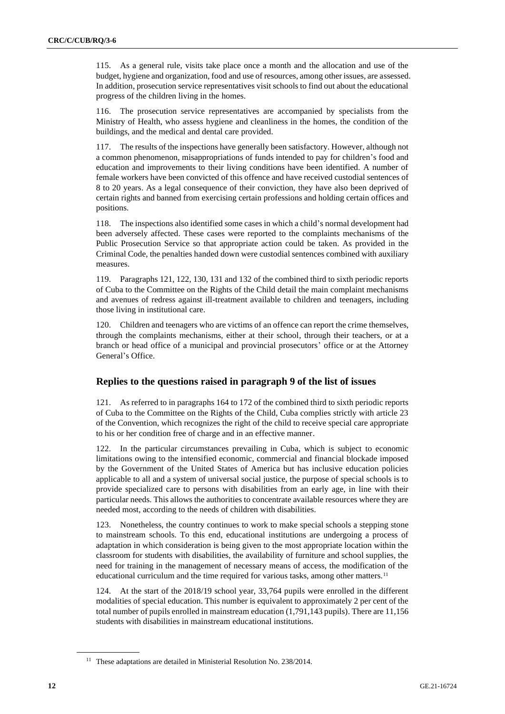115. As a general rule, visits take place once a month and the allocation and use of the budget, hygiene and organization, food and use of resources, among other issues, are assessed. In addition, prosecution service representatives visit schools to find out about the educational progress of the children living in the homes.

116. The prosecution service representatives are accompanied by specialists from the Ministry of Health, who assess hygiene and cleanliness in the homes, the condition of the buildings, and the medical and dental care provided.

117. The results of the inspections have generally been satisfactory. However, although not a common phenomenon, misappropriations of funds intended to pay for children's food and education and improvements to their living conditions have been identified. A number of female workers have been convicted of this offence and have received custodial sentences of 8 to 20 years. As a legal consequence of their conviction, they have also been deprived of certain rights and banned from exercising certain professions and holding certain offices and positions.

118. The inspections also identified some cases in which a child's normal development had been adversely affected. These cases were reported to the complaints mechanisms of the Public Prosecution Service so that appropriate action could be taken. As provided in the Criminal Code, the penalties handed down were custodial sentences combined with auxiliary measures.

119. Paragraphs 121, 122, 130, 131 and 132 of the combined third to sixth periodic reports of Cuba to the Committee on the Rights of the Child detail the main complaint mechanisms and avenues of redress against ill-treatment available to children and teenagers, including those living in institutional care.

120. Children and teenagers who are victims of an offence can report the crime themselves, through the complaints mechanisms, either at their school, through their teachers, or at a branch or head office of a municipal and provincial prosecutors' office or at the Attorney General's Office.

#### **Replies to the questions raised in paragraph 9 of the list of issues**

121. As referred to in paragraphs 164 to 172 of the combined third to sixth periodic reports of Cuba to the Committee on the Rights of the Child, Cuba complies strictly with article 23 of the Convention, which recognizes the right of the child to receive special care appropriate to his or her condition free of charge and in an effective manner.

122. In the particular circumstances prevailing in Cuba, which is subject to economic limitations owing to the intensified economic, commercial and financial blockade imposed by the Government of the United States of America but has inclusive education policies applicable to all and a system of universal social justice, the purpose of special schools is to provide specialized care to persons with disabilities from an early age, in line with their particular needs. This allows the authorities to concentrate available resources where they are needed most, according to the needs of children with disabilities.

123. Nonetheless, the country continues to work to make special schools a stepping stone to mainstream schools. To this end, educational institutions are undergoing a process of adaptation in which consideration is being given to the most appropriate location within the classroom for students with disabilities, the availability of furniture and school supplies, the need for training in the management of necessary means of access, the modification of the educational curriculum and the time required for various tasks, among other matters.<sup>11</sup>

124. At the start of the 2018/19 school year, 33,764 pupils were enrolled in the different modalities of special education. This number is equivalent to approximately 2 per cent of the total number of pupils enrolled in mainstream education (1,791,143 pupils). There are 11,156 students with disabilities in mainstream educational institutions.

<sup>&</sup>lt;sup>11</sup> These adaptations are detailed in Ministerial Resolution No. 238/2014.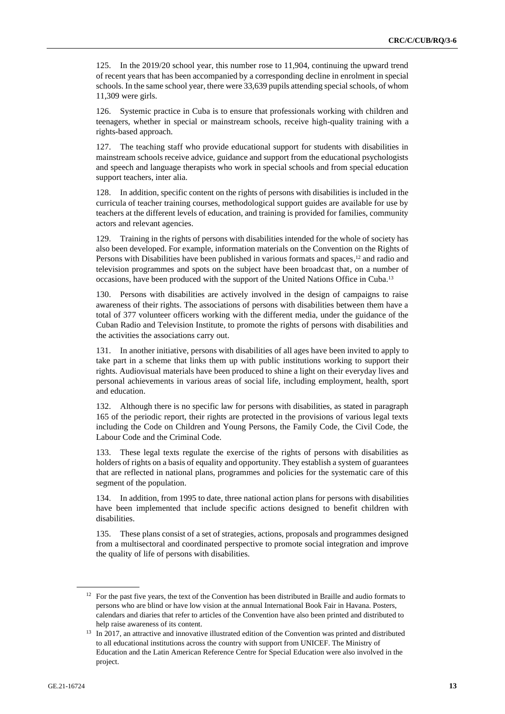125. In the 2019/20 school year, this number rose to 11,904, continuing the upward trend of recent years that has been accompanied by a corresponding decline in enrolment in special schools. In the same school year, there were 33,639 pupils attending special schools, of whom 11,309 were girls.

126. Systemic practice in Cuba is to ensure that professionals working with children and teenagers, whether in special or mainstream schools, receive high-quality training with a rights-based approach.

127. The teaching staff who provide educational support for students with disabilities in mainstream schools receive advice, guidance and support from the educational psychologists and speech and language therapists who work in special schools and from special education support teachers, inter alia.

128. In addition, specific content on the rights of persons with disabilities is included in the curricula of teacher training courses, methodological support guides are available for use by teachers at the different levels of education, and training is provided for families, community actors and relevant agencies.

129. Training in the rights of persons with disabilities intended for the whole of society has also been developed. For example, information materials on the Convention on the Rights of Persons with Disabilities have been published in various formats and spaces,<sup>12</sup> and radio and television programmes and spots on the subject have been broadcast that, on a number of occasions, have been produced with the support of the United Nations Office in Cuba.<sup>13</sup>

130. Persons with disabilities are actively involved in the design of campaigns to raise awareness of their rights. The associations of persons with disabilities between them have a total of 377 volunteer officers working with the different media, under the guidance of the Cuban Radio and Television Institute, to promote the rights of persons with disabilities and the activities the associations carry out.

131. In another initiative, persons with disabilities of all ages have been invited to apply to take part in a scheme that links them up with public institutions working to support their rights. Audiovisual materials have been produced to shine a light on their everyday lives and personal achievements in various areas of social life, including employment, health, sport and education.

132. Although there is no specific law for persons with disabilities, as stated in paragraph 165 of the periodic report, their rights are protected in the provisions of various legal texts including the Code on Children and Young Persons, the Family Code, the Civil Code, the Labour Code and the Criminal Code.

133. These legal texts regulate the exercise of the rights of persons with disabilities as holders of rights on a basis of equality and opportunity. They establish a system of guarantees that are reflected in national plans, programmes and policies for the systematic care of this segment of the population.

134. In addition, from 1995 to date, three national action plans for persons with disabilities have been implemented that include specific actions designed to benefit children with disabilities.

135. These plans consist of a set of strategies, actions, proposals and programmes designed from a multisectoral and coordinated perspective to promote social integration and improve the quality of life of persons with disabilities.

<sup>&</sup>lt;sup>12</sup> For the past five years, the text of the Convention has been distributed in Braille and audio formats to persons who are blind or have low vision at the annual International Book Fair in Havana. Posters, calendars and diaries that refer to articles of the Convention have also been printed and distributed to help raise awareness of its content.

<sup>&</sup>lt;sup>13</sup> In 2017, an attractive and innovative illustrated edition of the Convention was printed and distributed to all educational institutions across the country with support from UNICEF. The Ministry of Education and the Latin American Reference Centre for Special Education were also involved in the project.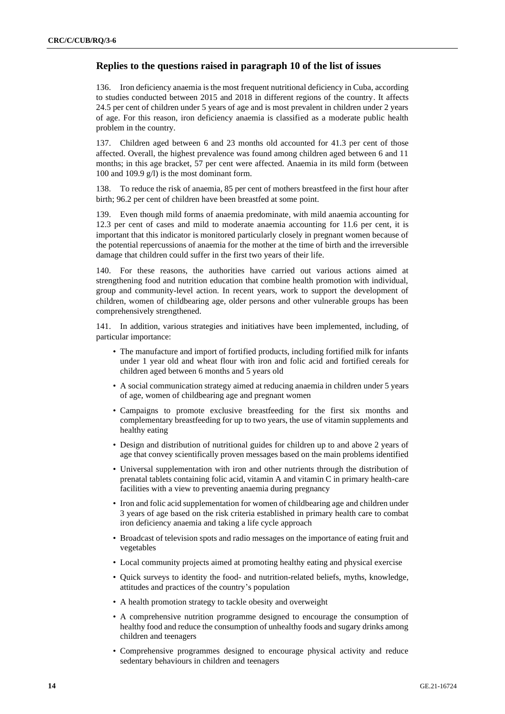#### **Replies to the questions raised in paragraph 10 of the list of issues**

136. Iron deficiency anaemia is the most frequent nutritional deficiency in Cuba, according to studies conducted between 2015 and 2018 in different regions of the country. It affects 24.5 per cent of children under 5 years of age and is most prevalent in children under 2 years of age. For this reason, iron deficiency anaemia is classified as a moderate public health problem in the country.

137. Children aged between 6 and 23 months old accounted for 41.3 per cent of those affected. Overall, the highest prevalence was found among children aged between 6 and 11 months; in this age bracket, 57 per cent were affected. Anaemia in its mild form (between 100 and 109.9 g/l) is the most dominant form.

138. To reduce the risk of anaemia, 85 per cent of mothers breastfeed in the first hour after birth; 96.2 per cent of children have been breastfed at some point.

139. Even though mild forms of anaemia predominate, with mild anaemia accounting for 12.3 per cent of cases and mild to moderate anaemia accounting for 11.6 per cent, it is important that this indicator is monitored particularly closely in pregnant women because of the potential repercussions of anaemia for the mother at the time of birth and the irreversible damage that children could suffer in the first two years of their life.

140. For these reasons, the authorities have carried out various actions aimed at strengthening food and nutrition education that combine health promotion with individual, group and community-level action. In recent years, work to support the development of children, women of childbearing age, older persons and other vulnerable groups has been comprehensively strengthened.

141. In addition, various strategies and initiatives have been implemented, including, of particular importance:

- The manufacture and import of fortified products, including fortified milk for infants under 1 year old and wheat flour with iron and folic acid and fortified cereals for children aged between 6 months and 5 years old
- A social communication strategy aimed at reducing anaemia in children under 5 years of age, women of childbearing age and pregnant women
- Campaigns to promote exclusive breastfeeding for the first six months and complementary breastfeeding for up to two years, the use of vitamin supplements and healthy eating
- Design and distribution of nutritional guides for children up to and above 2 years of age that convey scientifically proven messages based on the main problems identified
- Universal supplementation with iron and other nutrients through the distribution of prenatal tablets containing folic acid, vitamin A and vitamin C in primary health-care facilities with a view to preventing anaemia during pregnancy
- Iron and folic acid supplementation for women of childbearing age and children under 3 years of age based on the risk criteria established in primary health care to combat iron deficiency anaemia and taking a life cycle approach
- Broadcast of television spots and radio messages on the importance of eating fruit and vegetables
- Local community projects aimed at promoting healthy eating and physical exercise
- Quick surveys to identity the food- and nutrition-related beliefs, myths, knowledge, attitudes and practices of the country's population
- A health promotion strategy to tackle obesity and overweight
- A comprehensive nutrition programme designed to encourage the consumption of healthy food and reduce the consumption of unhealthy foods and sugary drinks among children and teenagers
- Comprehensive programmes designed to encourage physical activity and reduce sedentary behaviours in children and teenagers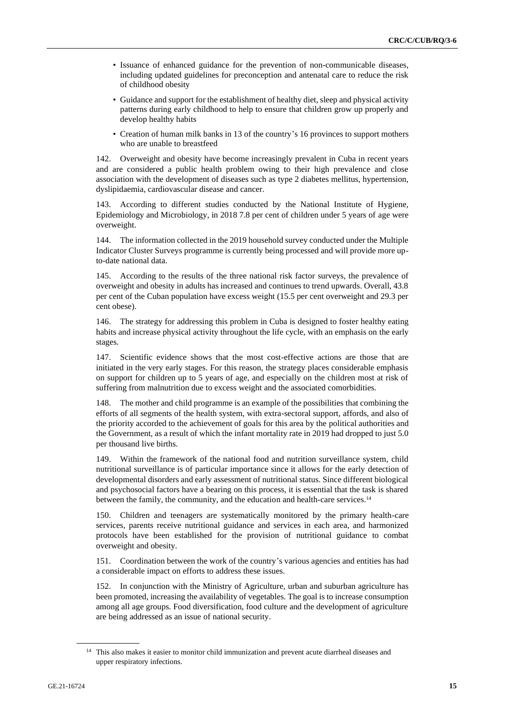- Issuance of enhanced guidance for the prevention of non-communicable diseases, including updated guidelines for preconception and antenatal care to reduce the risk of childhood obesity
- Guidance and support for the establishment of healthy diet, sleep and physical activity patterns during early childhood to help to ensure that children grow up properly and develop healthy habits
- Creation of human milk banks in 13 of the country's 16 provinces to support mothers who are unable to breastfeed

142. Overweight and obesity have become increasingly prevalent in Cuba in recent years and are considered a public health problem owing to their high prevalence and close association with the development of diseases such as type 2 diabetes mellitus, hypertension, dyslipidaemia, cardiovascular disease and cancer.

143. According to different studies conducted by the National Institute of Hygiene, Epidemiology and Microbiology, in 2018 7.8 per cent of children under 5 years of age were overweight.

144. The information collected in the 2019 household survey conducted under the Multiple Indicator Cluster Surveys programme is currently being processed and will provide more upto-date national data.

145. According to the results of the three national risk factor surveys, the prevalence of overweight and obesity in adults has increased and continues to trend upwards. Overall, 43.8 per cent of the Cuban population have excess weight (15.5 per cent overweight and 29.3 per cent obese).

146. The strategy for addressing this problem in Cuba is designed to foster healthy eating habits and increase physical activity throughout the life cycle, with an emphasis on the early stages.

147. Scientific evidence shows that the most cost-effective actions are those that are initiated in the very early stages. For this reason, the strategy places considerable emphasis on support for children up to 5 years of age, and especially on the children most at risk of suffering from malnutrition due to excess weight and the associated comorbidities.

148. The mother and child programme is an example of the possibilities that combining the efforts of all segments of the health system, with extra-sectoral support, affords, and also of the priority accorded to the achievement of goals for this area by the political authorities and the Government, as a result of which the infant mortality rate in 2019 had dropped to just 5.0 per thousand live births.

149. Within the framework of the national food and nutrition surveillance system, child nutritional surveillance is of particular importance since it allows for the early detection of developmental disorders and early assessment of nutritional status. Since different biological and psychosocial factors have a bearing on this process, it is essential that the task is shared between the family, the community, and the education and health-care services.<sup>14</sup>

150. Children and teenagers are systematically monitored by the primary health-care services, parents receive nutritional guidance and services in each area, and harmonized protocols have been established for the provision of nutritional guidance to combat overweight and obesity.

151. Coordination between the work of the country's various agencies and entities has had a considerable impact on efforts to address these issues.

152. In conjunction with the Ministry of Agriculture, urban and suburban agriculture has been promoted, increasing the availability of vegetables. The goal is to increase consumption among all age groups. Food diversification, food culture and the development of agriculture are being addressed as an issue of national security.

<sup>&</sup>lt;sup>14</sup> This also makes it easier to monitor child immunization and prevent acute diarrheal diseases and upper respiratory infections.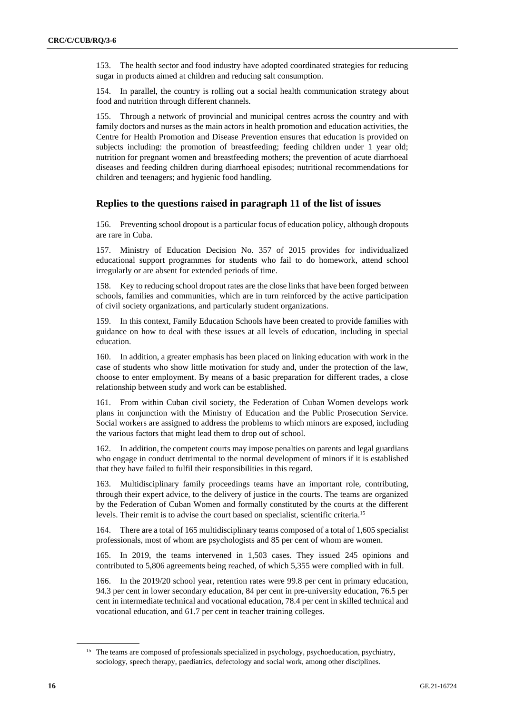153. The health sector and food industry have adopted coordinated strategies for reducing sugar in products aimed at children and reducing salt consumption.

154. In parallel, the country is rolling out a social health communication strategy about food and nutrition through different channels.

155. Through a network of provincial and municipal centres across the country and with family doctors and nurses as the main actors in health promotion and education activities, the Centre for Health Promotion and Disease Prevention ensures that education is provided on subjects including: the promotion of breastfeeding; feeding children under 1 year old; nutrition for pregnant women and breastfeeding mothers; the prevention of acute diarrhoeal diseases and feeding children during diarrhoeal episodes; nutritional recommendations for children and teenagers; and hygienic food handling.

#### **Replies to the questions raised in paragraph 11 of the list of issues**

156. Preventing school dropout is a particular focus of education policy, although dropouts are rare in Cuba.

157. Ministry of Education Decision No. 357 of 2015 provides for individualized educational support programmes for students who fail to do homework, attend school irregularly or are absent for extended periods of time.

158. Key to reducing school dropout rates are the close links that have been forged between schools, families and communities, which are in turn reinforced by the active participation of civil society organizations, and particularly student organizations.

159. In this context, Family Education Schools have been created to provide families with guidance on how to deal with these issues at all levels of education, including in special education.

160. In addition, a greater emphasis has been placed on linking education with work in the case of students who show little motivation for study and, under the protection of the law, choose to enter employment. By means of a basic preparation for different trades, a close relationship between study and work can be established.

161. From within Cuban civil society, the Federation of Cuban Women develops work plans in conjunction with the Ministry of Education and the Public Prosecution Service. Social workers are assigned to address the problems to which minors are exposed, including the various factors that might lead them to drop out of school.

162. In addition, the competent courts may impose penalties on parents and legal guardians who engage in conduct detrimental to the normal development of minors if it is established that they have failed to fulfil their responsibilities in this regard.

163. Multidisciplinary family proceedings teams have an important role, contributing, through their expert advice, to the delivery of justice in the courts. The teams are organized by the Federation of Cuban Women and formally constituted by the courts at the different levels. Their remit is to advise the court based on specialist, scientific criteria.<sup>15</sup>

164. There are a total of 165 multidisciplinary teams composed of a total of 1,605 specialist professionals, most of whom are psychologists and 85 per cent of whom are women.

165. In 2019, the teams intervened in 1,503 cases. They issued 245 opinions and contributed to 5,806 agreements being reached, of which 5,355 were complied with in full.

166. In the 2019/20 school year, retention rates were 99.8 per cent in primary education, 94.3 per cent in lower secondary education, 84 per cent in pre-university education, 76.5 per cent in intermediate technical and vocational education, 78.4 per cent in skilled technical and vocational education, and 61.7 per cent in teacher training colleges.

<sup>&</sup>lt;sup>15</sup> The teams are composed of professionals specialized in psychology, psychoeducation, psychiatry, sociology, speech therapy, paediatrics, defectology and social work, among other disciplines.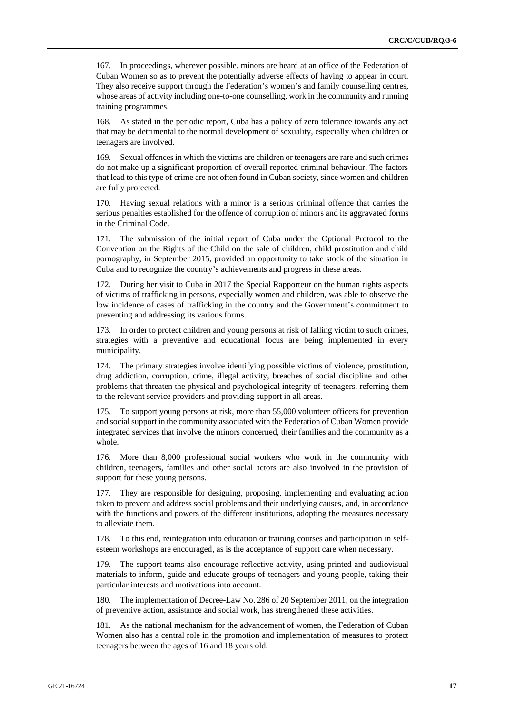167. In proceedings, wherever possible, minors are heard at an office of the Federation of Cuban Women so as to prevent the potentially adverse effects of having to appear in court. They also receive support through the Federation's women's and family counselling centres, whose areas of activity including one-to-one counselling, work in the community and running training programmes.

168. As stated in the periodic report, Cuba has a policy of zero tolerance towards any act that may be detrimental to the normal development of sexuality, especially when children or teenagers are involved.

169. Sexual offences in which the victims are children or teenagers are rare and such crimes do not make up a significant proportion of overall reported criminal behaviour. The factors that lead to this type of crime are not often found in Cuban society, since women and children are fully protected.

170. Having sexual relations with a minor is a serious criminal offence that carries the serious penalties established for the offence of corruption of minors and its aggravated forms in the Criminal Code.

171. The submission of the initial report of Cuba under the Optional Protocol to the Convention on the Rights of the Child on the sale of children, child prostitution and child pornography, in September 2015, provided an opportunity to take stock of the situation in Cuba and to recognize the country's achievements and progress in these areas.

172. During her visit to Cuba in 2017 the Special Rapporteur on the human rights aspects of victims of trafficking in persons, especially women and children, was able to observe the low incidence of cases of trafficking in the country and the Government's commitment to preventing and addressing its various forms.

In order to protect children and young persons at risk of falling victim to such crimes, strategies with a preventive and educational focus are being implemented in every municipality.

174. The primary strategies involve identifying possible victims of violence, prostitution, drug addiction, corruption, crime, illegal activity, breaches of social discipline and other problems that threaten the physical and psychological integrity of teenagers, referring them to the relevant service providers and providing support in all areas.

175. To support young persons at risk, more than 55,000 volunteer officers for prevention and social support in the community associated with the Federation of Cuban Women provide integrated services that involve the minors concerned, their families and the community as a whole.

176. More than 8,000 professional social workers who work in the community with children, teenagers, families and other social actors are also involved in the provision of support for these young persons.

177. They are responsible for designing, proposing, implementing and evaluating action taken to prevent and address social problems and their underlying causes, and, in accordance with the functions and powers of the different institutions, adopting the measures necessary to alleviate them.

178. To this end, reintegration into education or training courses and participation in selfesteem workshops are encouraged, as is the acceptance of support care when necessary.

179. The support teams also encourage reflective activity, using printed and audiovisual materials to inform, guide and educate groups of teenagers and young people, taking their particular interests and motivations into account.

180. The implementation of Decree-Law No. 286 of 20 September 2011, on the integration of preventive action, assistance and social work, has strengthened these activities.

181. As the national mechanism for the advancement of women, the Federation of Cuban Women also has a central role in the promotion and implementation of measures to protect teenagers between the ages of 16 and 18 years old.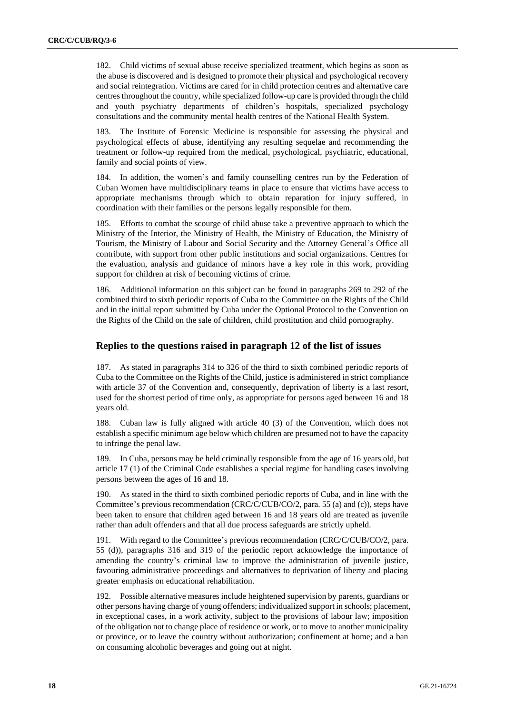182. Child victims of sexual abuse receive specialized treatment, which begins as soon as the abuse is discovered and is designed to promote their physical and psychological recovery and social reintegration. Victims are cared for in child protection centres and alternative care centres throughout the country, while specialized follow-up care is provided through the child and youth psychiatry departments of children's hospitals, specialized psychology consultations and the community mental health centres of the National Health System.

183. The Institute of Forensic Medicine is responsible for assessing the physical and psychological effects of abuse, identifying any resulting sequelae and recommending the treatment or follow-up required from the medical, psychological, psychiatric, educational, family and social points of view.

184. In addition, the women's and family counselling centres run by the Federation of Cuban Women have multidisciplinary teams in place to ensure that victims have access to appropriate mechanisms through which to obtain reparation for injury suffered, in coordination with their families or the persons legally responsible for them.

185. Efforts to combat the scourge of child abuse take a preventive approach to which the Ministry of the Interior, the Ministry of Health, the Ministry of Education, the Ministry of Tourism, the Ministry of Labour and Social Security and the Attorney General's Office all contribute, with support from other public institutions and social organizations. Centres for the evaluation, analysis and guidance of minors have a key role in this work, providing support for children at risk of becoming victims of crime.

186. Additional information on this subject can be found in paragraphs 269 to 292 of the combined third to sixth periodic reports of Cuba to the Committee on the Rights of the Child and in the initial report submitted by Cuba under the Optional Protocol to the Convention on the Rights of the Child on the sale of children, child prostitution and child pornography.

#### **Replies to the questions raised in paragraph 12 of the list of issues**

187. As stated in paragraphs 314 to 326 of the third to sixth combined periodic reports of Cuba to the Committee on the Rights of the Child, justice is administered in strict compliance with article 37 of the Convention and, consequently, deprivation of liberty is a last resort, used for the shortest period of time only, as appropriate for persons aged between 16 and 18 years old.

188. Cuban law is fully aligned with article 40 (3) of the Convention, which does not establish a specific minimum age below which children are presumed not to have the capacity to infringe the penal law.

189. In Cuba, persons may be held criminally responsible from the age of 16 years old, but article 17 (1) of the Criminal Code establishes a special regime for handling cases involving persons between the ages of 16 and 18.

190. As stated in the third to sixth combined periodic reports of Cuba, and in line with the Committee's previous recommendation (CRC/C/CUB/CO/2, para. 55 (a) and (c)), steps have been taken to ensure that children aged between 16 and 18 years old are treated as juvenile rather than adult offenders and that all due process safeguards are strictly upheld.

191. With regard to the Committee's previous recommendation (CRC/C/CUB/CO/2, para. 55 (d)), paragraphs 316 and 319 of the periodic report acknowledge the importance of amending the country's criminal law to improve the administration of juvenile justice, favouring administrative proceedings and alternatives to deprivation of liberty and placing greater emphasis on educational rehabilitation.

192. Possible alternative measures include heightened supervision by parents, guardians or other persons having charge of young offenders; individualized support in schools; placement, in exceptional cases, in a work activity, subject to the provisions of labour law; imposition of the obligation not to change place of residence or work, or to move to another municipality or province, or to leave the country without authorization; confinement at home; and a ban on consuming alcoholic beverages and going out at night.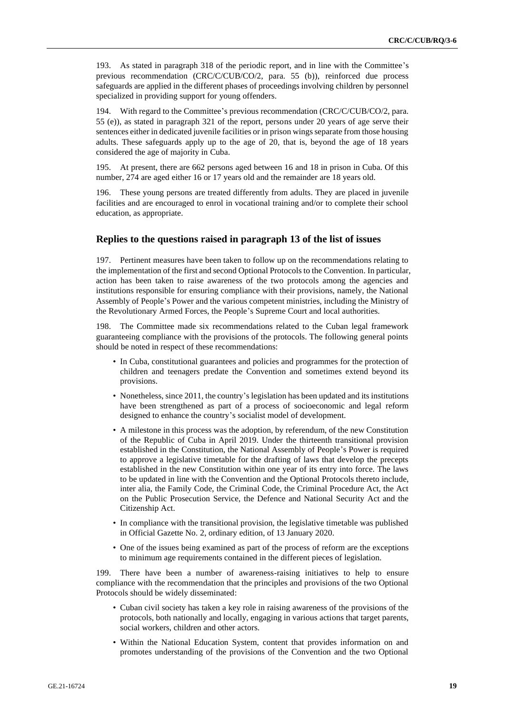193. As stated in paragraph 318 of the periodic report, and in line with the Committee's previous recommendation (CRC/C/CUB/CO/2, para. 55 (b)), reinforced due process safeguards are applied in the different phases of proceedings involving children by personnel specialized in providing support for young offenders.

194. With regard to the Committee's previous recommendation (CRC/C/CUB/CO/2, para. 55 (e)), as stated in paragraph 321 of the report, persons under 20 years of age serve their sentences either in dedicated juvenile facilities or in prison wings separate from those housing adults. These safeguards apply up to the age of 20, that is, beyond the age of 18 years considered the age of majority in Cuba.

195. At present, there are 662 persons aged between 16 and 18 in prison in Cuba. Of this number, 274 are aged either 16 or 17 years old and the remainder are 18 years old.

196. These young persons are treated differently from adults. They are placed in juvenile facilities and are encouraged to enrol in vocational training and/or to complete their school education, as appropriate.

#### **Replies to the questions raised in paragraph 13 of the list of issues**

197. Pertinent measures have been taken to follow up on the recommendations relating to the implementation of the first and second Optional Protocols to the Convention. In particular, action has been taken to raise awareness of the two protocols among the agencies and institutions responsible for ensuring compliance with their provisions, namely, the National Assembly of People's Power and the various competent ministries, including the Ministry of the Revolutionary Armed Forces, the People's Supreme Court and local authorities.

198. The Committee made six recommendations related to the Cuban legal framework guaranteeing compliance with the provisions of the protocols. The following general points should be noted in respect of these recommendations:

- In Cuba, constitutional guarantees and policies and programmes for the protection of children and teenagers predate the Convention and sometimes extend beyond its provisions.
- Nonetheless, since 2011, the country's legislation has been updated and its institutions have been strengthened as part of a process of socioeconomic and legal reform designed to enhance the country's socialist model of development.
- A milestone in this process was the adoption, by referendum, of the new Constitution of the Republic of Cuba in April 2019. Under the thirteenth transitional provision established in the Constitution, the National Assembly of People's Power is required to approve a legislative timetable for the drafting of laws that develop the precepts established in the new Constitution within one year of its entry into force. The laws to be updated in line with the Convention and the Optional Protocols thereto include, inter alia, the Family Code, the Criminal Code, the Criminal Procedure Act, the Act on the Public Prosecution Service, the Defence and National Security Act and the Citizenship Act.
- In compliance with the transitional provision, the legislative timetable was published in Official Gazette No. 2, ordinary edition, of 13 January 2020.
- One of the issues being examined as part of the process of reform are the exceptions to minimum age requirements contained in the different pieces of legislation.

199. There have been a number of awareness-raising initiatives to help to ensure compliance with the recommendation that the principles and provisions of the two Optional Protocols should be widely disseminated:

- Cuban civil society has taken a key role in raising awareness of the provisions of the protocols, both nationally and locally, engaging in various actions that target parents, social workers, children and other actors.
- Within the National Education System, content that provides information on and promotes understanding of the provisions of the Convention and the two Optional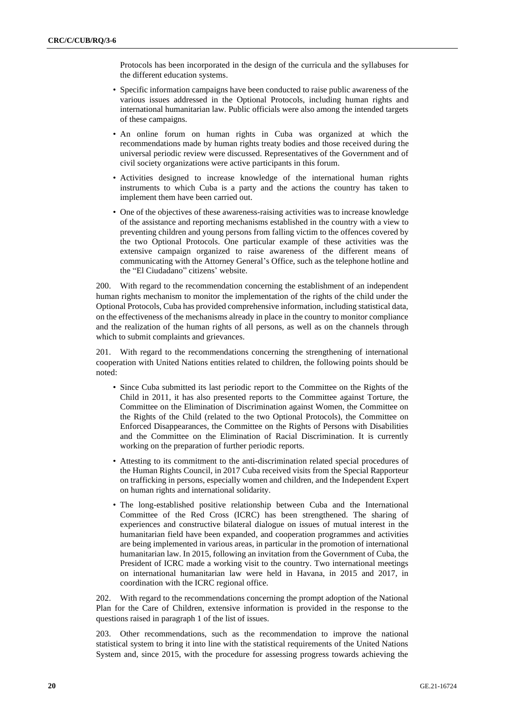Protocols has been incorporated in the design of the curricula and the syllabuses for the different education systems.

- Specific information campaigns have been conducted to raise public awareness of the various issues addressed in the Optional Protocols, including human rights and international humanitarian law. Public officials were also among the intended targets of these campaigns.
- An online forum on human rights in Cuba was organized at which the recommendations made by human rights treaty bodies and those received during the universal periodic review were discussed. Representatives of the Government and of civil society organizations were active participants in this forum.
- Activities designed to increase knowledge of the international human rights instruments to which Cuba is a party and the actions the country has taken to implement them have been carried out.
- One of the objectives of these awareness-raising activities was to increase knowledge of the assistance and reporting mechanisms established in the country with a view to preventing children and young persons from falling victim to the offences covered by the two Optional Protocols. One particular example of these activities was the extensive campaign organized to raise awareness of the different means of communicating with the Attorney General's Office, such as the telephone hotline and the "El Ciudadano" citizens' website.

200. With regard to the recommendation concerning the establishment of an independent human rights mechanism to monitor the implementation of the rights of the child under the Optional Protocols, Cuba has provided comprehensive information, including statistical data, on the effectiveness of the mechanisms already in place in the country to monitor compliance and the realization of the human rights of all persons, as well as on the channels through which to submit complaints and grievances.

201. With regard to the recommendations concerning the strengthening of international cooperation with United Nations entities related to children, the following points should be noted:

- Since Cuba submitted its last periodic report to the Committee on the Rights of the Child in 2011, it has also presented reports to the Committee against Torture, the Committee on the Elimination of Discrimination against Women, the Committee on the Rights of the Child (related to the two Optional Protocols), the Committee on Enforced Disappearances, the Committee on the Rights of Persons with Disabilities and the Committee on the Elimination of Racial Discrimination. It is currently working on the preparation of further periodic reports.
- Attesting to its commitment to the anti-discrimination related special procedures of the Human Rights Council, in 2017 Cuba received visits from the Special Rapporteur on trafficking in persons, especially women and children, and the Independent Expert on human rights and international solidarity.
- The long-established positive relationship between Cuba and the International Committee of the Red Cross (ICRC) has been strengthened. The sharing of experiences and constructive bilateral dialogue on issues of mutual interest in the humanitarian field have been expanded, and cooperation programmes and activities are being implemented in various areas, in particular in the promotion of international humanitarian law. In 2015, following an invitation from the Government of Cuba, the President of ICRC made a working visit to the country. Two international meetings on international humanitarian law were held in Havana, in 2015 and 2017, in coordination with the ICRC regional office.

202. With regard to the recommendations concerning the prompt adoption of the National Plan for the Care of Children, extensive information is provided in the response to the questions raised in paragraph 1 of the list of issues.

203. Other recommendations, such as the recommendation to improve the national statistical system to bring it into line with the statistical requirements of the United Nations System and, since 2015, with the procedure for assessing progress towards achieving the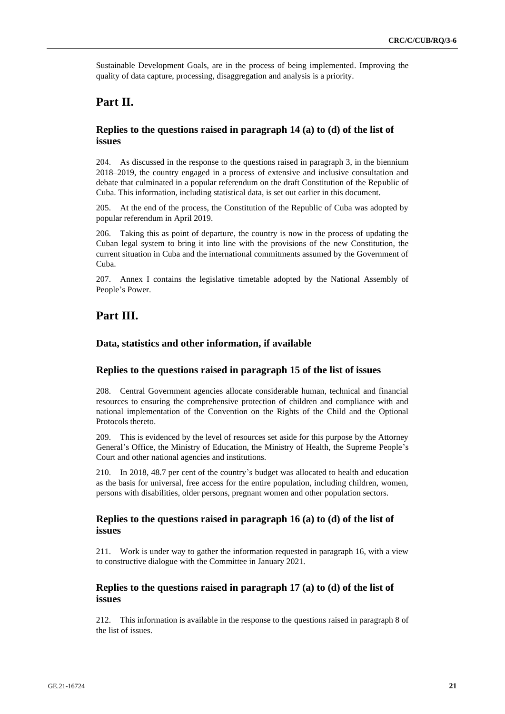Sustainable Development Goals, are in the process of being implemented. Improving the quality of data capture, processing, disaggregation and analysis is a priority.

# **Part II.**

### **Replies to the questions raised in paragraph 14 (a) to (d) of the list of issues**

204. As discussed in the response to the questions raised in paragraph 3, in the biennium 2018–2019, the country engaged in a process of extensive and inclusive consultation and debate that culminated in a popular referendum on the draft Constitution of the Republic of Cuba. This information, including statistical data, is set out earlier in this document.

205. At the end of the process, the Constitution of the Republic of Cuba was adopted by popular referendum in April 2019.

206. Taking this as point of departure, the country is now in the process of updating the Cuban legal system to bring it into line with the provisions of the new Constitution, the current situation in Cuba and the international commitments assumed by the Government of Cuba.

207. Annex I contains the legislative timetable adopted by the National Assembly of People's Power.

# **Part III.**

#### **Data, statistics and other information, if available**

#### **Replies to the questions raised in paragraph 15 of the list of issues**

208. Central Government agencies allocate considerable human, technical and financial resources to ensuring the comprehensive protection of children and compliance with and national implementation of the Convention on the Rights of the Child and the Optional Protocols thereto.

209. This is evidenced by the level of resources set aside for this purpose by the Attorney General's Office, the Ministry of Education, the Ministry of Health, the Supreme People's Court and other national agencies and institutions.

210. In 2018, 48.7 per cent of the country's budget was allocated to health and education as the basis for universal, free access for the entire population, including children, women, persons with disabilities, older persons, pregnant women and other population sectors.

#### **Replies to the questions raised in paragraph 16 (a) to (d) of the list of issues**

211. Work is under way to gather the information requested in paragraph 16, with a view to constructive dialogue with the Committee in January 2021.

#### **Replies to the questions raised in paragraph 17 (a) to (d) of the list of issues**

212. This information is available in the response to the questions raised in paragraph 8 of the list of issues.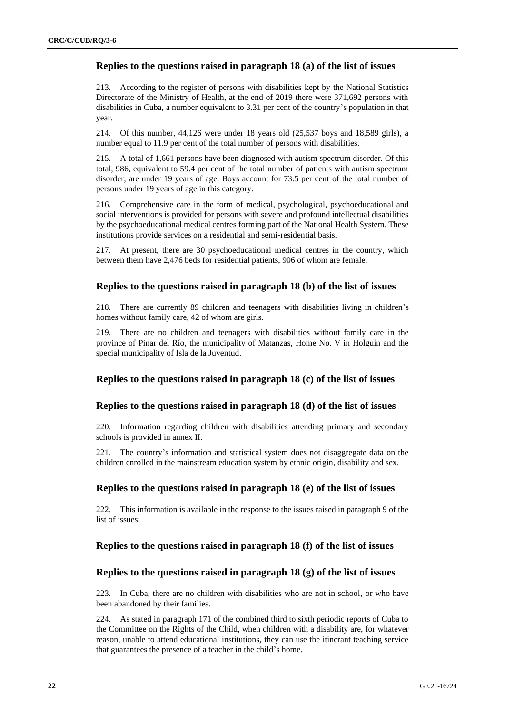### **Replies to the questions raised in paragraph 18 (a) of the list of issues**

213. According to the register of persons with disabilities kept by the National Statistics Directorate of the Ministry of Health, at the end of 2019 there were 371,692 persons with disabilities in Cuba, a number equivalent to 3.31 per cent of the country's population in that year.

214. Of this number, 44,126 were under 18 years old (25,537 boys and 18,589 girls), a number equal to 11.9 per cent of the total number of persons with disabilities.

215. A total of 1,661 persons have been diagnosed with autism spectrum disorder. Of this total, 986, equivalent to 59.4 per cent of the total number of patients with autism spectrum disorder, are under 19 years of age. Boys account for 73.5 per cent of the total number of persons under 19 years of age in this category.

216. Comprehensive care in the form of medical, psychological, psychoeducational and social interventions is provided for persons with severe and profound intellectual disabilities by the psychoeducational medical centres forming part of the National Health System. These institutions provide services on a residential and semi-residential basis.

217. At present, there are 30 psychoeducational medical centres in the country, which between them have 2,476 beds for residential patients, 906 of whom are female.

#### **Replies to the questions raised in paragraph 18 (b) of the list of issues**

218. There are currently 89 children and teenagers with disabilities living in children's homes without family care, 42 of whom are girls.

219. There are no children and teenagers with disabilities without family care in the province of Pinar del Río, the municipality of Matanzas, Home No. V in Holguín and the special municipality of Isla de la Juventud.

#### **Replies to the questions raised in paragraph 18 (c) of the list of issues**

#### **Replies to the questions raised in paragraph 18 (d) of the list of issues**

220. Information regarding children with disabilities attending primary and secondary schools is provided in annex II.

221. The country's information and statistical system does not disaggregate data on the children enrolled in the mainstream education system by ethnic origin, disability and sex.

#### **Replies to the questions raised in paragraph 18 (e) of the list of issues**

222. This information is available in the response to the issues raised in paragraph 9 of the list of issues.

#### **Replies to the questions raised in paragraph 18 (f) of the list of issues**

#### **Replies to the questions raised in paragraph 18 (g) of the list of issues**

223. In Cuba, there are no children with disabilities who are not in school, or who have been abandoned by their families.

224. As stated in paragraph 171 of the combined third to sixth periodic reports of Cuba to the Committee on the Rights of the Child, when children with a disability are, for whatever reason, unable to attend educational institutions, they can use the itinerant teaching service that guarantees the presence of a teacher in the child's home.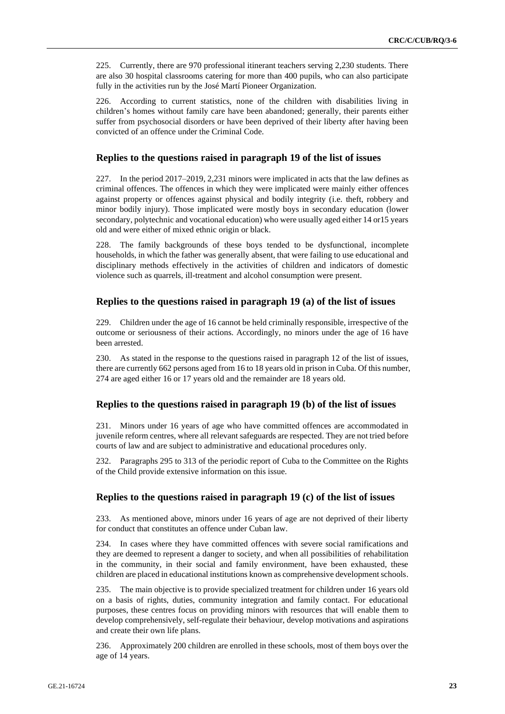225. Currently, there are 970 professional itinerant teachers serving 2,230 students. There are also 30 hospital classrooms catering for more than 400 pupils, who can also participate fully in the activities run by the José Martí Pioneer Organization.

226. According to current statistics, none of the children with disabilities living in children's homes without family care have been abandoned; generally, their parents either suffer from psychosocial disorders or have been deprived of their liberty after having been convicted of an offence under the Criminal Code.

#### **Replies to the questions raised in paragraph 19 of the list of issues**

227. In the period 2017–2019, 2,231 minors were implicated in acts that the law defines as criminal offences. The offences in which they were implicated were mainly either offences against property or offences against physical and bodily integrity (i.e. theft, robbery and minor bodily injury). Those implicated were mostly boys in secondary education (lower secondary, polytechnic and vocational education) who were usually aged either 14 or15 years old and were either of mixed ethnic origin or black.

228. The family backgrounds of these boys tended to be dysfunctional, incomplete households, in which the father was generally absent, that were failing to use educational and disciplinary methods effectively in the activities of children and indicators of domestic violence such as quarrels, ill-treatment and alcohol consumption were present.

#### **Replies to the questions raised in paragraph 19 (a) of the list of issues**

229. Children under the age of 16 cannot be held criminally responsible, irrespective of the outcome or seriousness of their actions. Accordingly, no minors under the age of 16 have been arrested.

230. As stated in the response to the questions raised in paragraph 12 of the list of issues, there are currently 662 persons aged from 16 to 18 years old in prison in Cuba. Of this number, 274 are aged either 16 or 17 years old and the remainder are 18 years old.

#### **Replies to the questions raised in paragraph 19 (b) of the list of issues**

231. Minors under 16 years of age who have committed offences are accommodated in juvenile reform centres, where all relevant safeguards are respected. They are not tried before courts of law and are subject to administrative and educational procedures only.

232. Paragraphs 295 to 313 of the periodic report of Cuba to the Committee on the Rights of the Child provide extensive information on this issue.

#### **Replies to the questions raised in paragraph 19 (c) of the list of issues**

233. As mentioned above, minors under 16 years of age are not deprived of their liberty for conduct that constitutes an offence under Cuban law.

234. In cases where they have committed offences with severe social ramifications and they are deemed to represent a danger to society, and when all possibilities of rehabilitation in the community, in their social and family environment, have been exhausted, these children are placed in educational institutions known as comprehensive development schools.

235. The main objective is to provide specialized treatment for children under 16 years old on a basis of rights, duties, community integration and family contact. For educational purposes, these centres focus on providing minors with resources that will enable them to develop comprehensively, self-regulate their behaviour, develop motivations and aspirations and create their own life plans.

236. Approximately 200 children are enrolled in these schools, most of them boys over the age of 14 years.